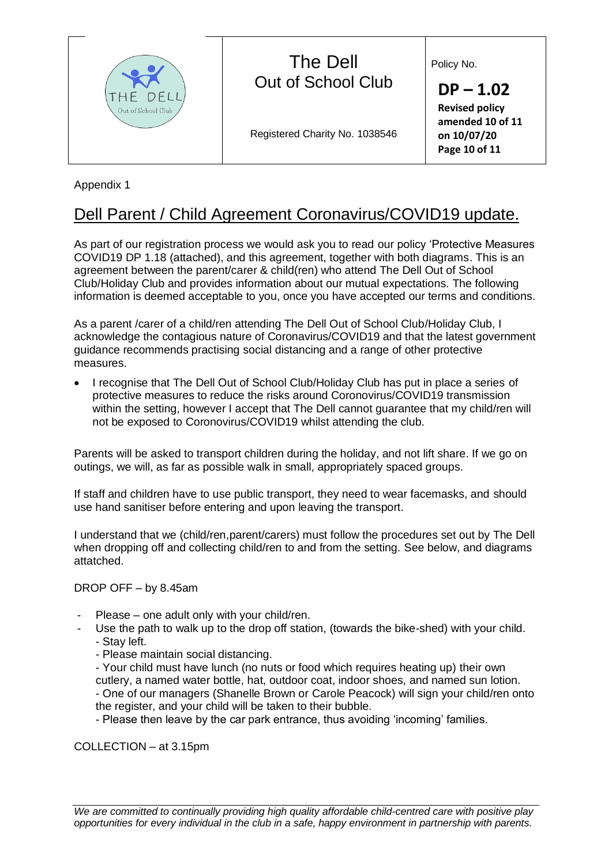

## Appendix 1

# Dell Parent / Child Agreement Coronavirus/COVID19 update.

As part of our registration process we would ask you to read our policy 'Protective Measures COVID19 DP 1.18 (attached), and this agreement, together with both diagrams. This is an agreement between the parent/carer & child(ren) who attend The Dell Out of School Club/Holiday Club and provides information about our mutual expectations. The following information is deemed acceptable to you, once you have accepted our terms and conditions.

As a parent /carer of a child/ren attending The Dell Out of School Club/Holiday Club, I acknowledge the contagious nature of Coronavirus/COVID19 and that the latest government guidance recommends practising social distancing and a range of other protective measures.

• I recognise that The Dell Out of School Club/Holiday Club has put in place a series of protective measures to reduce the risks around Coronovirus/COVID19 transmission within the setting, however I accept that The Dell cannot guarantee that my child/ren will not be exposed to Coronovirus/COVID19 whilst attending the club.

Parents will be asked to transport children during the holiday, and not lift share. If we go on outings, we will, as far as possible walk in small, appropriately spaced groups.

If staff and children have to use public transport, they need to wear facemasks, and should use hand sanitiser before entering and upon leaving the transport.

I understand that we (child/ren,parent/carers) must follow the procedures set out by The Dell when dropping off and collecting child/ren to and from the setting. See below, and diagrams attatched.

#### DROP OFF – by 8.45am

- Please one adult only with your child/ren.
	- Use the path to walk up to the drop off station, (towards the bike-shed) with your child. - Stay left.
		- Please maintain social distancing.
		- Your child must have lunch (no nuts or food which requires heating up) their own
		- cutlery, a named water bottle, hat, outdoor coat, indoor shoes, and named sun lotion.

- One of our managers (Shanelle Brown or Carole Peacock) will sign your child/ren onto the register, and your child will be taken to their bubble.

- Please then leave by the car park entrance, thus avoiding 'incoming' families.

COLLECTION – at 3.15pm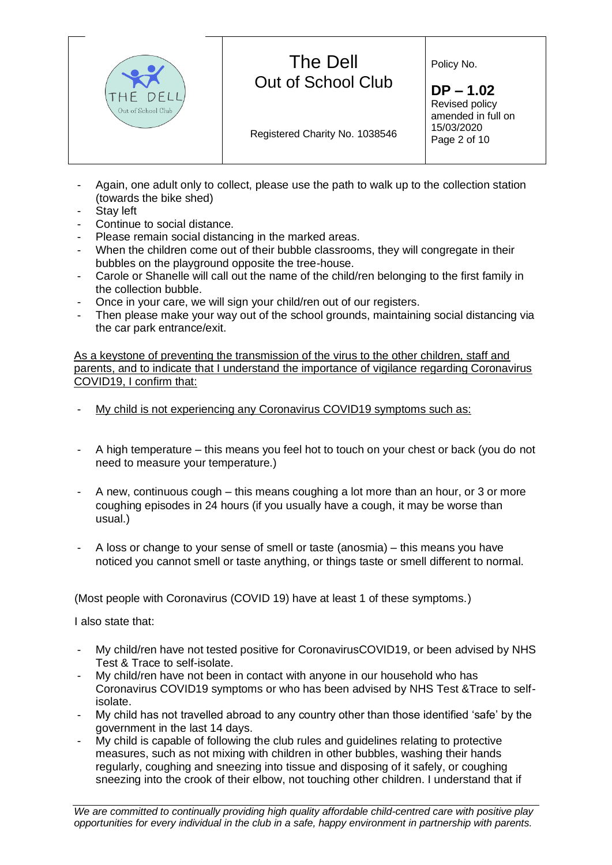

- Again, one adult only to collect, please use the path to walk up to the collection station (towards the bike shed)
- Stay left
- Continue to social distance.
- Please remain social distancing in the marked areas.
- When the children come out of their bubble classrooms, they will congregate in their bubbles on the playground opposite the tree-house.
- Carole or Shanelle will call out the name of the child/ren belonging to the first family in the collection bubble.
- Once in your care, we will sign your child/ren out of our registers.
- Then please make your way out of the school grounds, maintaining social distancing via the car park entrance/exit.

As a keystone of preventing the transmission of the virus to the other children, staff and parents, and to indicate that I understand the importance of vigilance regarding Coronavirus COVID19, I confirm that:

- My child is not experiencing any Coronavirus COVID19 symptoms such as:
- A high temperature this means you feel hot to touch on your chest or back (you do not need to measure your temperature.)
- A new, continuous cough this means coughing a lot more than an hour, or 3 or more coughing episodes in 24 hours (if you usually have a cough, it may be worse than usual.)
- A loss or change to your sense of smell or taste (anosmia) this means you have noticed you cannot smell or taste anything, or things taste or smell different to normal.

(Most people with Coronavirus (COVID 19) have at least 1 of these symptoms.)

I also state that:

- My child/ren have not tested positive for CoronavirusCOVID19, or been advised by NHS Test & Trace to self-isolate.
- My child/ren have not been in contact with anyone in our household who has Coronavirus COVID19 symptoms or who has been advised by NHS Test &Trace to selfisolate.
- My child has not travelled abroad to any country other than those identified 'safe' by the government in the last 14 days.
- My child is capable of following the club rules and guidelines relating to protective measures, such as not mixing with children in other bubbles, washing their hands regularly, coughing and sneezing into tissue and disposing of it safely, or coughing sneezing into the crook of their elbow, not touching other children. I understand that if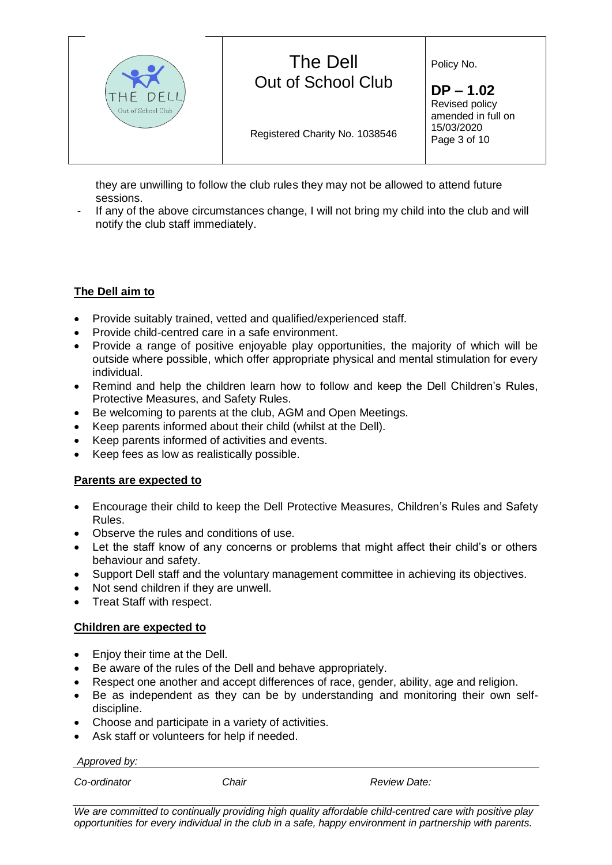

they are unwilling to follow the club rules they may not be allowed to attend future sessions.

If any of the above circumstances change, I will not bring my child into the club and will notify the club staff immediately.

### **The Dell aim to**

- Provide suitably trained, vetted and qualified/experienced staff.
- Provide child-centred care in a safe environment.
- Provide a range of positive enjoyable play opportunities, the majority of which will be outside where possible, which offer appropriate physical and mental stimulation for every individual.
- Remind and help the children learn how to follow and keep the Dell Children's Rules, Protective Measures, and Safety Rules.
- Be welcoming to parents at the club, AGM and Open Meetings.
- Keep parents informed about their child (whilst at the Dell).
- Keep parents informed of activities and events.
- Keep fees as low as realistically possible.

#### **Parents are expected to**

- Encourage their child to keep the Dell Protective Measures, Children's Rules and Safety Rules.
- Observe the rules and conditions of use.
- Let the staff know of any concerns or problems that might affect their child's or others behaviour and safety.
- Support Dell staff and the voluntary management committee in achieving its objectives.
- Not send children if they are unwell.
- Treat Staff with respect.

#### **Children are expected to**

- Enjoy their time at the Dell.
- Be aware of the rules of the Dell and behave appropriately.
- Respect one another and accept differences of race, gender, ability, age and religion.
- Be as independent as they can be by understanding and monitoring their own selfdiscipline.
- Choose and participate in a variety of activities.
- Ask staff or volunteers for help if needed.

*Approved by:*

*Co-ordinator Chair Review Date:* 

*We are committed to continually providing high quality affordable child-centred care with positive play opportunities for every individual in the club in a safe, happy environment in partnership with parents.*